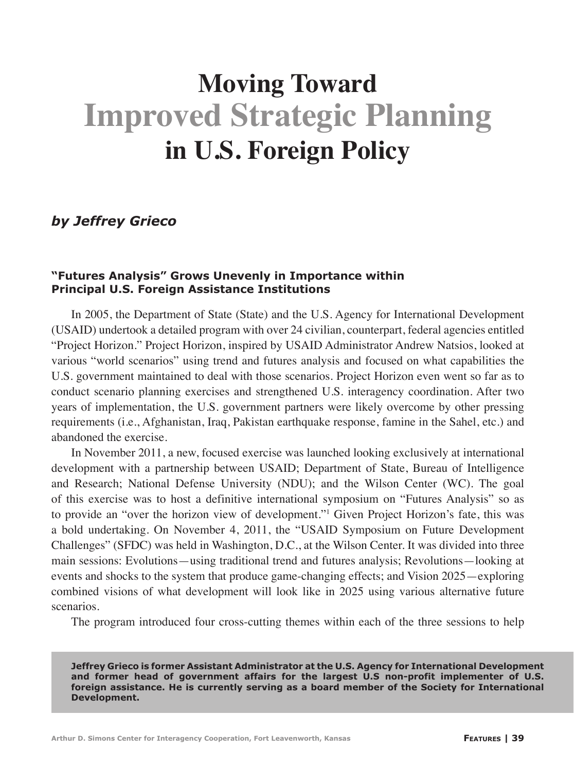# **Improved Strategic Planning Moving Toward in U.S. Foreign Policy**

# *by Jeffrey Grieco*

#### **"Futures Analysis" Grows Unevenly in Importance within Principal U.S. Foreign Assistance Institutions**

In 2005, the Department of State (State) and the U.S. Agency for International Development (USAID) undertook a detailed program with over 24 civilian, counterpart, federal agencies entitled "Project Horizon." Project Horizon, inspired by USAID Administrator Andrew Natsios, looked at various "world scenarios" using trend and futures analysis and focused on what capabilities the U.S. government maintained to deal with those scenarios. Project Horizon even went so far as to conduct scenario planning exercises and strengthened U.S. interagency coordination. After two years of implementation, the U.S. government partners were likely overcome by other pressing requirements (i.e., Afghanistan, Iraq, Pakistan earthquake response, famine in the Sahel, etc.) and abandoned the exercise.

In November 2011, a new, focused exercise was launched looking exclusively at international development with a partnership between USAID; Department of State, Bureau of Intelligence and Research; National Defense University (NDU); and the Wilson Center (WC). The goal of this exercise was to host a definitive international symposium on "Futures Analysis" so as to provide an "over the horizon view of development."1 Given Project Horizon's fate, this was a bold undertaking. On November 4, 2011, the "USAID Symposium on Future Development Challenges" (SFDC) was held in Washington, D.C., at the Wilson Center. It was divided into three main sessions: Evolutions—using traditional trend and futures analysis; Revolutions—looking at events and shocks to the system that produce game-changing effects; and Vision 2025—exploring combined visions of what development will look like in 2025 using various alternative future scenarios.

The program introduced four cross-cutting themes within each of the three sessions to help

**Jeffrey Grieco is former Assistant Administrator at the U.S. Agency for International Development and former head of government affairs for the largest U.S non-profit implementer of U.S. foreign assistance. He is currently serving as a board member of the Society for International Development.**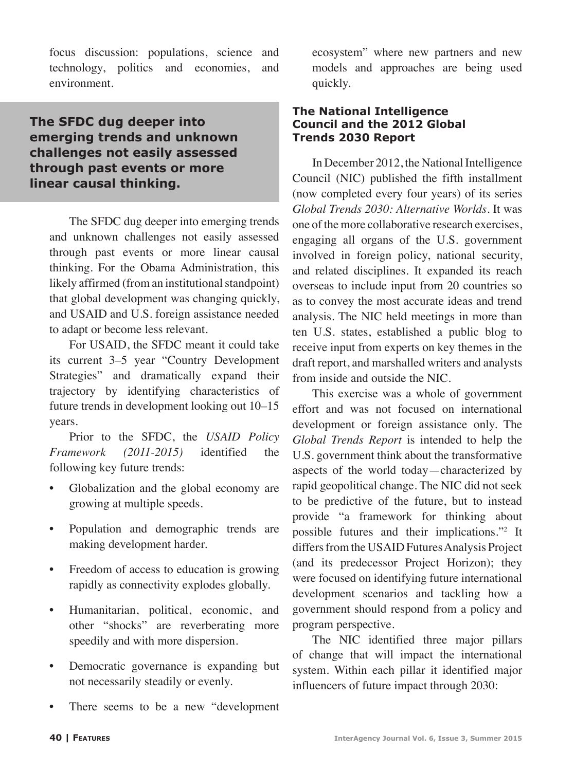focus discussion: populations, science and technology, politics and economies, and environment.

# **The SFDC dug deeper into emerging trends and unknown challenges not easily assessed through past events or more linear causal thinking.**

The SFDC dug deeper into emerging trends and unknown challenges not easily assessed through past events or more linear causal thinking. For the Obama Administration, this likely affirmed (from an institutional standpoint) that global development was changing quickly, and USAID and U.S. foreign assistance needed to adapt or become less relevant.

For USAID, the SFDC meant it could take its current 3–5 year "Country Development Strategies" and dramatically expand their trajectory by identifying characteristics of future trends in development looking out 10–15 years.

Prior to the SFDC, the *USAID Policy Framework (2011-2015)* identified the following key future trends:

- Globalization and the global economy are growing at multiple speeds.
- Population and demographic trends are making development harder.
- Freedom of access to education is growing rapidly as connectivity explodes globally.
- Humanitarian, political, economic, and other "shocks" are reverberating more speedily and with more dispersion.
- Democratic governance is expanding but not necessarily steadily or evenly.
- There seems to be a new "development"

ecosystem" where new partners and new models and approaches are being used quickly.

#### **The National Intelligence Council and the 2012 Global Trends 2030 Report**

In December 2012, the National Intelligence Council (NIC) published the fifth installment (now completed every four years) of its series *Global Trends 2030: Alternative Worlds.* It was one of the more collaborative research exercises, engaging all organs of the U.S. government involved in foreign policy, national security, and related disciplines. It expanded its reach overseas to include input from 20 countries so as to convey the most accurate ideas and trend analysis. The NIC held meetings in more than ten U.S. states, established a public blog to receive input from experts on key themes in the draft report, and marshalled writers and analysts from inside and outside the NIC.

This exercise was a whole of government effort and was not focused on international development or foreign assistance only. The *Global Trends Report* is intended to help the U.S. government think about the transformative aspects of the world today—characterized by rapid geopolitical change. The NIC did not seek to be predictive of the future, but to instead provide "a framework for thinking about possible futures and their implications."2 It differs from the USAID Futures Analysis Project (and its predecessor Project Horizon); they were focused on identifying future international development scenarios and tackling how a government should respond from a policy and program perspective.

The NIC identified three major pillars of change that will impact the international system. Within each pillar it identified major influencers of future impact through 2030: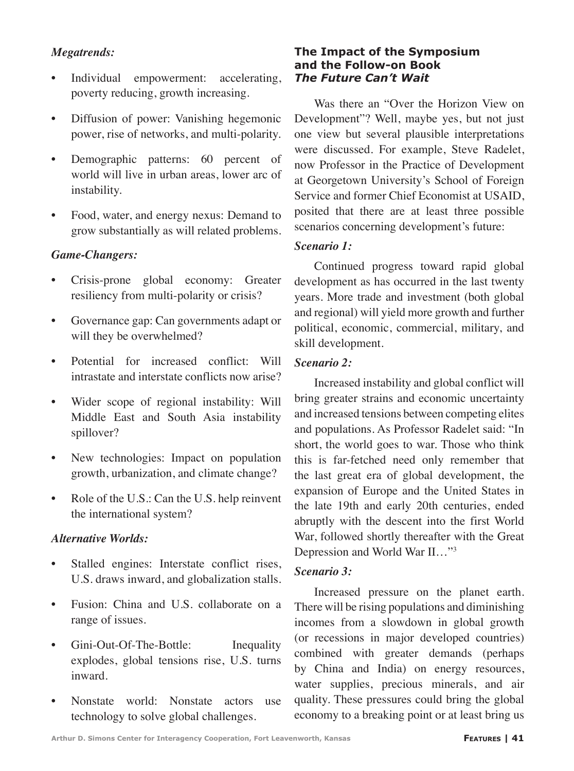## *Megatrends:*

- Individual empowerment: accelerating, poverty reducing, growth increasing.
- Diffusion of power: Vanishing hegemonic power, rise of networks, and multi-polarity.
- Demographic patterns: 60 percent of world will live in urban areas, lower arc of instability.
- Food, water, and energy nexus: Demand to grow substantially as will related problems.

### *Game-Changers:*

- Crisis-prone global economy: Greater resiliency from multi-polarity or crisis?
- Governance gap: Can governments adapt or will they be overwhelmed?
- Potential for increased conflict: Will intrastate and interstate conflicts now arise?
- Wider scope of regional instability: Will Middle East and South Asia instability spillover?
- New technologies: Impact on population growth, urbanization, and climate change?
- Role of the U.S.: Can the U.S. help reinvent the international system?

#### *Alternative Worlds:*

- Stalled engines: Interstate conflict rises, U.S. draws inward, and globalization stalls.
- Fusion: China and U.S. collaborate on a range of issues.
- Gini-Out-Of-The-Bottle: Inequality explodes, global tensions rise, U.S. turns inward.
- Nonstate world: Nonstate actors use technology to solve global challenges.

### **The Impact of the Symposium and the Follow-on Book**  *The Future Can't Wait*

Was there an "Over the Horizon View on Development"? Well, maybe yes, but not just one view but several plausible interpretations were discussed. For example, Steve Radelet, now Professor in the Practice of Development at Georgetown University's School of Foreign Service and former Chief Economist at USAID, posited that there are at least three possible scenarios concerning development's future:

#### *Scenario 1:*

Continued progress toward rapid global development as has occurred in the last twenty years. More trade and investment (both global and regional) will yield more growth and further political, economic, commercial, military, and skill development.

#### *Scenario 2:*

Increased instability and global conflict will bring greater strains and economic uncertainty and increased tensions between competing elites and populations. As Professor Radelet said: "In short, the world goes to war. Those who think this is far-fetched need only remember that the last great era of global development, the expansion of Europe and the United States in the late 19th and early 20th centuries, ended abruptly with the descent into the first World War, followed shortly thereafter with the Great Depression and World War II…"3

#### *Scenario 3:*

Increased pressure on the planet earth. There will be rising populations and diminishing incomes from a slowdown in global growth (or recessions in major developed countries) combined with greater demands (perhaps by China and India) on energy resources, water supplies, precious minerals, and air quality. These pressures could bring the global economy to a breaking point or at least bring us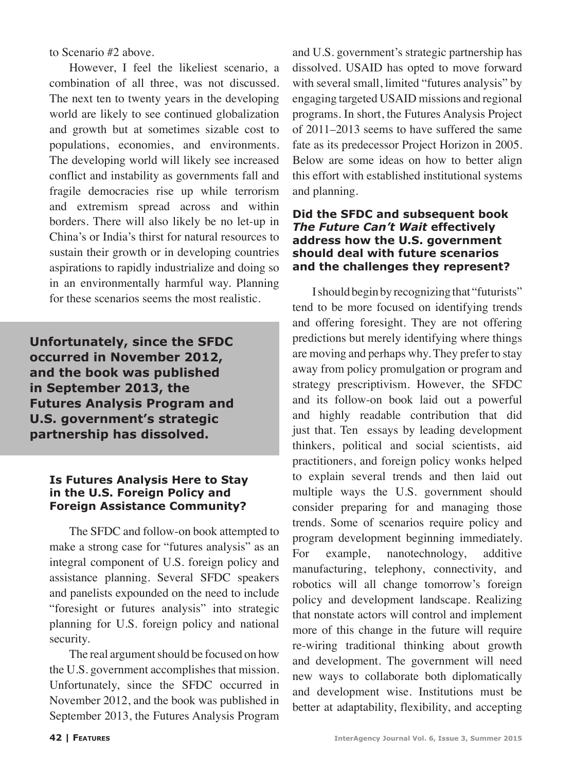to Scenario #2 above.

However, I feel the likeliest scenario, a combination of all three, was not discussed. The next ten to twenty years in the developing world are likely to see continued globalization and growth but at sometimes sizable cost to populations, economies, and environments. The developing world will likely see increased conflict and instability as governments fall and fragile democracies rise up while terrorism and extremism spread across and within borders. There will also likely be no let-up in China's or India's thirst for natural resources to sustain their growth or in developing countries aspirations to rapidly industrialize and doing so in an environmentally harmful way. Planning for these scenarios seems the most realistic.

**Unfortunately, since the SFDC occurred in November 2012, and the book was published in September 2013, the Futures Analysis Program and U.S. government's strategic partnership has dissolved.**

#### **Is Futures Analysis Here to Stay in the U.S. Foreign Policy and Foreign Assistance Community?**

The SFDC and follow-on book attempted to make a strong case for "futures analysis" as an integral component of U.S. foreign policy and assistance planning. Several SFDC speakers and panelists expounded on the need to include "foresight or futures analysis" into strategic planning for U.S. foreign policy and national security.

The real argument should be focused on how the U.S. government accomplishes that mission. Unfortunately, since the SFDC occurred in November 2012, and the book was published in September 2013, the Futures Analysis Program and U.S. government's strategic partnership has dissolved. USAID has opted to move forward with several small, limited "futures analysis" by engaging targeted USAID missions and regional programs. In short, the Futures Analysis Project of 2011–2013 seems to have suffered the same fate as its predecessor Project Horizon in 2005. Below are some ideas on how to better align this effort with established institutional systems and planning.

#### **Did the SFDC and subsequent book**  *The Future Can't Wait* **effectively address how the U.S. government should deal with future scenarios and the challenges they represent?**

I should begin by recognizing that "futurists" tend to be more focused on identifying trends and offering foresight. They are not offering predictions but merely identifying where things are moving and perhaps why. They prefer to stay away from policy promulgation or program and strategy prescriptivism. However, the SFDC and its follow-on book laid out a powerful and highly readable contribution that did just that. Ten essays by leading development thinkers, political and social scientists, aid practitioners, and foreign policy wonks helped to explain several trends and then laid out multiple ways the U.S. government should consider preparing for and managing those trends. Some of scenarios require policy and program development beginning immediately. For example, nanotechnology, additive manufacturing, telephony, connectivity, and robotics will all change tomorrow's foreign policy and development landscape. Realizing that nonstate actors will control and implement more of this change in the future will require re-wiring traditional thinking about growth and development. The government will need new ways to collaborate both diplomatically and development wise. Institutions must be better at adaptability, flexibility, and accepting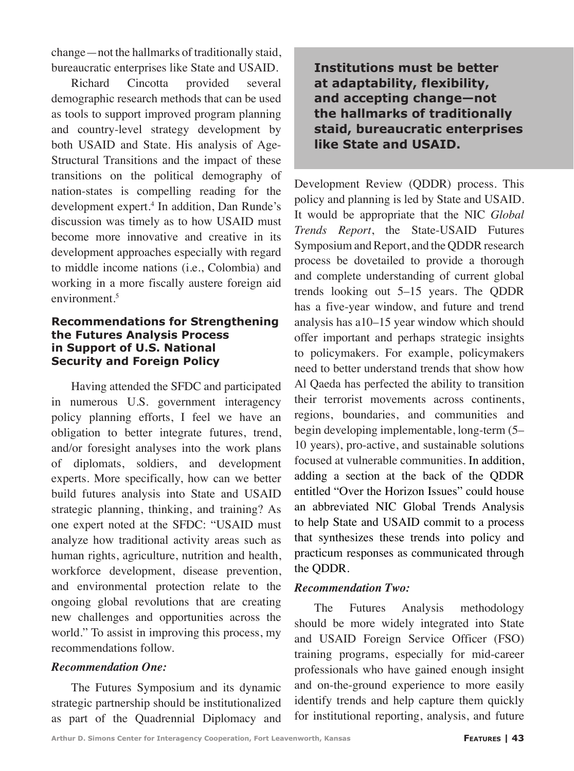change—not the hallmarks of traditionally staid, bureaucratic enterprises like State and USAID.

Richard Cincotta provided several demographic research methods that can be used as tools to support improved program planning and country-level strategy development by both USAID and State. His analysis of Age-Structural Transitions and the impact of these transitions on the political demography of nation-states is compelling reading for the development expert.4 In addition, Dan Runde's discussion was timely as to how USAID must become more innovative and creative in its development approaches especially with regard to middle income nations (i.e., Colombia) and working in a more fiscally austere foreign aid environment.<sup>5</sup>

#### **Recommendations for Strengthening the Futures Analysis Process in Support of U.S. National Security and Foreign Policy**

Having attended the SFDC and participated in numerous U.S. government interagency policy planning efforts, I feel we have an obligation to better integrate futures, trend, and/or foresight analyses into the work plans of diplomats, soldiers, and development experts. More specifically, how can we better build futures analysis into State and USAID strategic planning, thinking, and training? As one expert noted at the SFDC: "USAID must analyze how traditional activity areas such as human rights, agriculture, nutrition and health, workforce development, disease prevention, and environmental protection relate to the ongoing global revolutions that are creating new challenges and opportunities across the world." To assist in improving this process, my recommendations follow.

#### *Recommendation One:*

The Futures Symposium and its dynamic strategic partnership should be institutionalized as part of the Quadrennial Diplomacy and **Institutions must be better at adaptability, flexibility, and accepting change—not the hallmarks of traditionally staid, bureaucratic enterprises like State and USAID.**

Development Review (QDDR) process. This policy and planning is led by State and USAID. It would be appropriate that the NIC *Global Trends Report*, the State-USAID Futures Symposium and Report, and the QDDR research process be dovetailed to provide a thorough and complete understanding of current global trends looking out 5–15 years. The QDDR has a five-year window, and future and trend analysis has a10–15 year window which should offer important and perhaps strategic insights to policymakers. For example, policymakers need to better understand trends that show how Al Qaeda has perfected the ability to transition their terrorist movements across continents, regions, boundaries, and communities and begin developing implementable, long-term (5– 10 years), pro-active, and sustainable solutions focused at vulnerable communities. In addition, adding a section at the back of the QDDR entitled "Over the Horizon Issues" could house an abbreviated NIC Global Trends Analysis to help State and USAID commit to a process that synthesizes these trends into policy and practicum responses as communicated through the QDDR.

#### *Recommendation Two:*

The Futures Analysis methodology should be more widely integrated into State and USAID Foreign Service Officer (FSO) training programs, especially for mid-career professionals who have gained enough insight and on-the-ground experience to more easily identify trends and help capture them quickly for institutional reporting, analysis, and future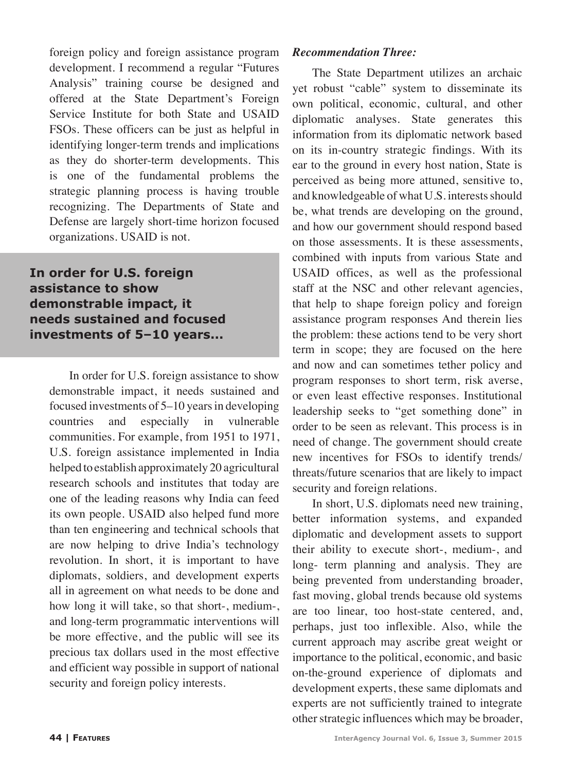foreign policy and foreign assistance program development. I recommend a regular "Futures Analysis" training course be designed and offered at the State Department's Foreign Service Institute for both State and USAID FSOs. These officers can be just as helpful in identifying longer-term trends and implications as they do shorter-term developments. This is one of the fundamental problems the strategic planning process is having trouble recognizing. The Departments of State and Defense are largely short-time horizon focused organizations. USAID is not.

**In order for U.S. foreign assistance to show demonstrable impact, it needs sustained and focused investments of 5–10 years...**

> In order for U.S. foreign assistance to show demonstrable impact, it needs sustained and focused investments of 5–10 years in developing countries and especially in vulnerable communities. For example, from 1951 to 1971, U.S. foreign assistance implemented in India helped to establish approximately 20 agricultural research schools and institutes that today are one of the leading reasons why India can feed its own people. USAID also helped fund more than ten engineering and technical schools that are now helping to drive India's technology revolution. In short, it is important to have diplomats, soldiers, and development experts all in agreement on what needs to be done and how long it will take, so that short-, medium-, and long-term programmatic interventions will be more effective, and the public will see its precious tax dollars used in the most effective and efficient way possible in support of national security and foreign policy interests.

#### *Recommendation Three:*

The State Department utilizes an archaic yet robust "cable" system to disseminate its own political, economic, cultural, and other diplomatic analyses. State generates this information from its diplomatic network based on its in-country strategic findings. With its ear to the ground in every host nation, State is perceived as being more attuned, sensitive to, and knowledgeable of what U.S. interests should be, what trends are developing on the ground, and how our government should respond based on those assessments. It is these assessments, combined with inputs from various State and USAID offices, as well as the professional staff at the NSC and other relevant agencies, that help to shape foreign policy and foreign assistance program responses And therein lies the problem: these actions tend to be very short term in scope; they are focused on the here and now and can sometimes tether policy and program responses to short term, risk averse, or even least effective responses. Institutional leadership seeks to "get something done" in order to be seen as relevant. This process is in need of change. The government should create new incentives for FSOs to identify trends/ threats/future scenarios that are likely to impact security and foreign relations.

In short, U.S. diplomats need new training, better information systems, and expanded diplomatic and development assets to support their ability to execute short-, medium-, and long- term planning and analysis. They are being prevented from understanding broader, fast moving, global trends because old systems are too linear, too host-state centered, and, perhaps, just too inflexible. Also, while the current approach may ascribe great weight or importance to the political, economic, and basic on-the-ground experience of diplomats and development experts, these same diplomats and experts are not sufficiently trained to integrate other strategic influences which may be broader,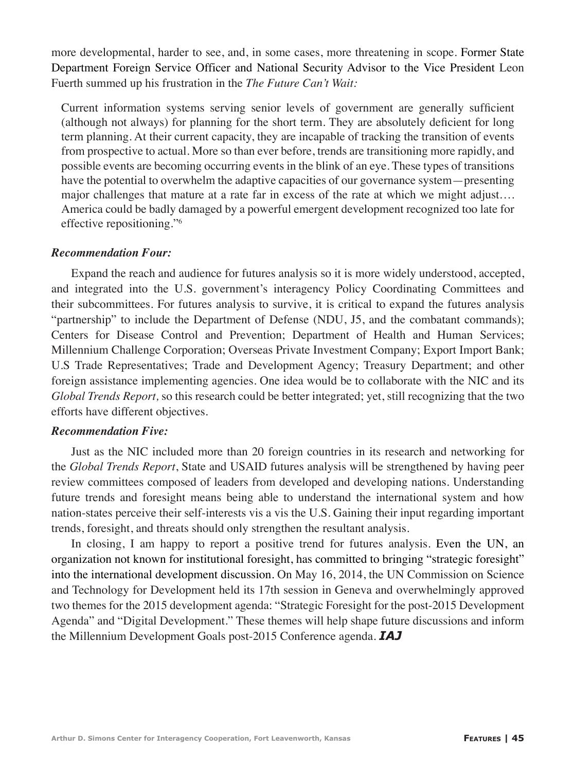more developmental, harder to see, and, in some cases, more threatening in scope. Former State Department Foreign Service Officer and National Security Advisor to the Vice President Leon Fuerth summed up his frustration in the *The Future Can't Wait:*

Current information systems serving senior levels of government are generally sufficient (although not always) for planning for the short term. They are absolutely deficient for long term planning. At their current capacity, they are incapable of tracking the transition of events from prospective to actual. More so than ever before, trends are transitioning more rapidly, and possible events are becoming occurring events in the blink of an eye. These types of transitions have the potential to overwhelm the adaptive capacities of our governance system—presenting major challenges that mature at a rate far in excess of the rate at which we might adjust…. America could be badly damaged by a powerful emergent development recognized too late for effective repositioning."6

#### *Recommendation Four:*

Expand the reach and audience for futures analysis so it is more widely understood, accepted, and integrated into the U.S. government's interagency Policy Coordinating Committees and their subcommittees. For futures analysis to survive, it is critical to expand the futures analysis "partnership" to include the Department of Defense (NDU, J5, and the combatant commands); Centers for Disease Control and Prevention; Department of Health and Human Services; Millennium Challenge Corporation; Overseas Private Investment Company; Export Import Bank; U.S Trade Representatives; Trade and Development Agency; Treasury Department; and other foreign assistance implementing agencies. One idea would be to collaborate with the NIC and its *Global Trends Report,* so this research could be better integrated; yet, still recognizing that the two efforts have different objectives.

#### *Recommendation Five:*

Just as the NIC included more than 20 foreign countries in its research and networking for the *Global Trends Report*, State and USAID futures analysis will be strengthened by having peer review committees composed of leaders from developed and developing nations. Understanding future trends and foresight means being able to understand the international system and how nation-states perceive their self-interests vis a vis the U.S. Gaining their input regarding important trends, foresight, and threats should only strengthen the resultant analysis.

In closing, I am happy to report a positive trend for futures analysis. Even the UN, an organization not known for institutional foresight, has committed to bringing "strategic foresight" into the international development discussion. On May 16, 2014, the UN Commission on Science and Technology for Development held its 17th session in Geneva and overwhelmingly approved two themes for the 2015 development agenda: "Strategic Foresight for the post-2015 Development Agenda" and "Digital Development." These themes will help shape future discussions and inform the Millennium Development Goals post-2015 Conference agenda. *IAJ*